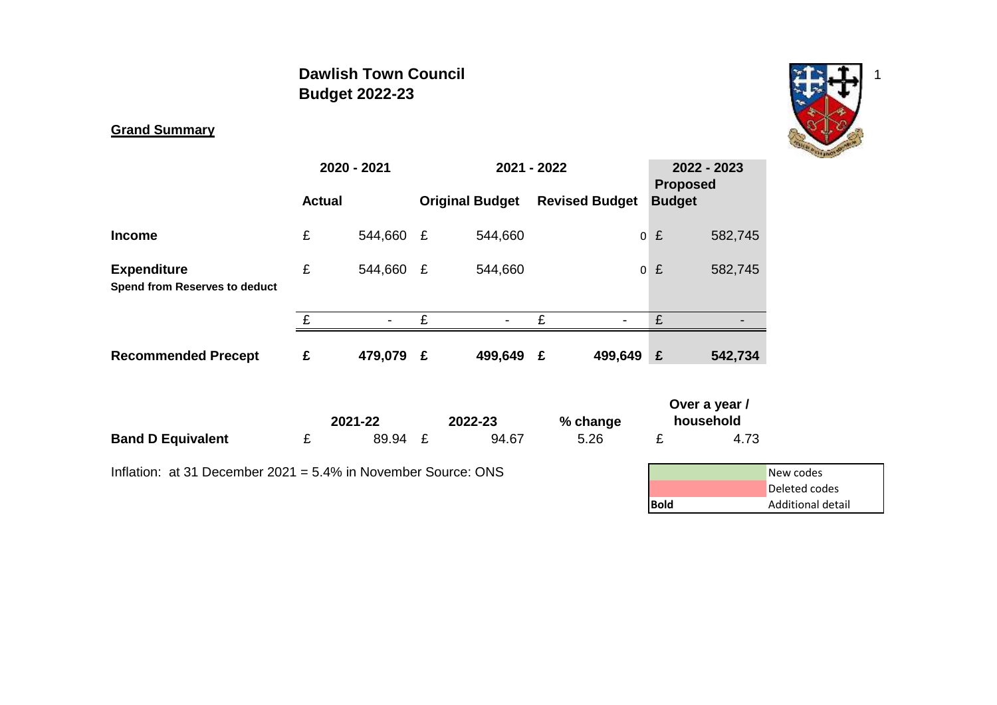# **Dawlish Town Council** 1 and 1 and 1 and 1 and 1 and 1 and 1 and 1 and 1 and 1 and 1 and 1 and 1 and 1 and 1 and 1 and 1 and 1 and 1 and 1 and 1 and 1 and 1 and 1 and 1 and 1 and 1 and 1 and 1 and 1 and 1 and 1 and 1 and 1 **Budget 2022-23**



# **Grand Summary**

|                                                                  |               | 2020 - 2021 |   | 2021 - 2022            |   |                       |               | 2022 - 2023<br><b>Proposed</b> |                                                 |
|------------------------------------------------------------------|---------------|-------------|---|------------------------|---|-----------------------|---------------|--------------------------------|-------------------------------------------------|
|                                                                  | <b>Actual</b> |             |   | <b>Original Budget</b> |   | <b>Revised Budget</b> | <b>Budget</b> |                                |                                                 |
| <b>Income</b>                                                    | £             | 544,660     | £ | 544,660                |   | $\overline{0}$        | £             | 582,745                        |                                                 |
| <b>Expenditure</b><br><b>Spend from Reserves to deduct</b>       | £             | 544,660     | E | 544,660                |   | $\overline{0}$        | £             | 582,745                        |                                                 |
|                                                                  | £             |             | £ |                        | £ |                       | £             |                                |                                                 |
| <b>Recommended Precept</b>                                       | £             | 479,079 £   |   | 499,649 £              |   | 499,649 £             |               | 542,734                        |                                                 |
|                                                                  |               | 2021-22     |   | 2022-23                |   | % change              |               | Over a year /<br>household     |                                                 |
| <b>Band D Equivalent</b>                                         | £             | 89.94 £     |   | 94.67                  |   | 5.26                  | £             | 4.73                           |                                                 |
| Inflation: at 31 December 2021 = $5.4\%$ in November Source: ONS |               |             |   |                        |   |                       | <b>Bold</b>   |                                | New codes<br>Deleted codes<br>Additional detail |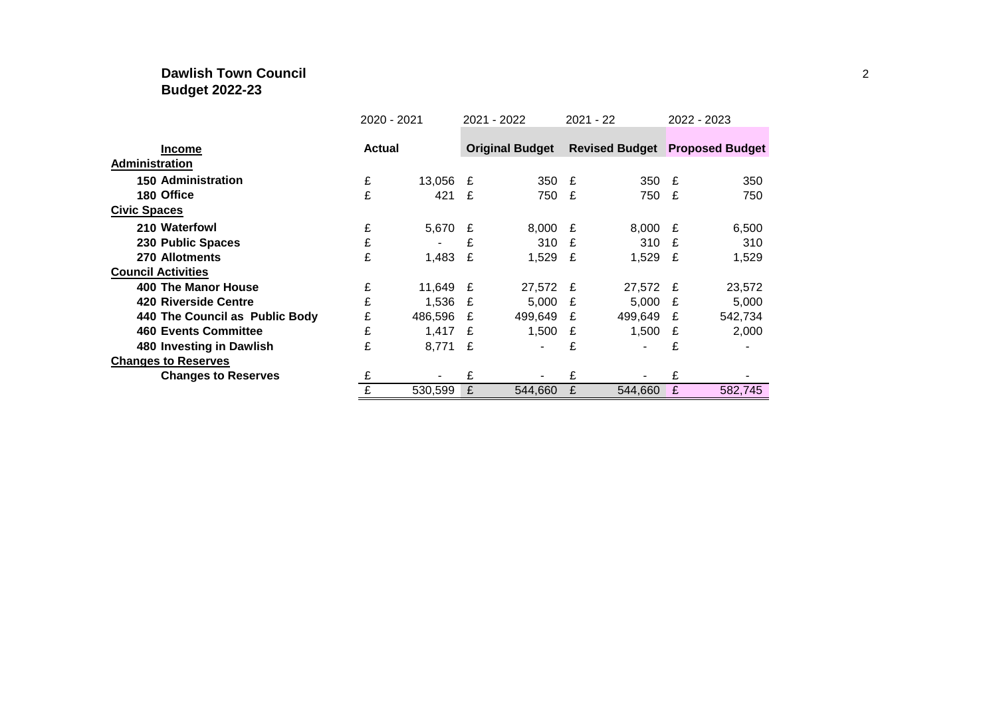## **Dawlish Town Council** 2 **Budget 2022-23**

|                                | 2020 - 2021 |               |   | 2021 - 2022            |              | 2021 - 22                             | 2022 - 2023 |         |  |  |
|--------------------------------|-------------|---------------|---|------------------------|--------------|---------------------------------------|-------------|---------|--|--|
|                                |             |               |   |                        |              |                                       |             |         |  |  |
| <b>Income</b>                  |             | <b>Actual</b> |   | <b>Original Budget</b> |              | <b>Revised Budget Proposed Budget</b> |             |         |  |  |
| <b>Administration</b>          |             |               |   |                        |              |                                       |             |         |  |  |
| <b>150 Administration</b>      | £           | 13,056 £      |   | 350                    | £            | 350 £                                 |             | 350     |  |  |
| 180 Office                     | £           | 421           | £ | 750                    | £            | 750 £                                 |             | 750     |  |  |
| <b>Civic Spaces</b>            |             |               |   |                        |              |                                       |             |         |  |  |
| 210 Waterfowl                  | £           | 5,670 £       |   | 8,000                  | £            | $8,000$ £                             |             | 6,500   |  |  |
| 230 Public Spaces              | £           |               | £ | 310                    | $\mathbf{f}$ | 310 £                                 |             | 310     |  |  |
| 270 Allotments                 | £           | 1,483         | £ | 1,529 $E$              |              | $1,529$ £                             |             | 1,529   |  |  |
| <b>Council Activities</b>      |             |               |   |                        |              |                                       |             |         |  |  |
| 400 The Manor House            | £           | 11,649 £      |   | 27,572                 | £            | 27,572 £                              |             | 23,572  |  |  |
| 420 Riverside Centre           | £           | 1,536         | £ | 5,000                  | £            | $5,000$ £                             |             | 5,000   |  |  |
| 440 The Council as Public Body | £           | 486,596       | £ | 499,649                | £            | 499,649                               | £           | 542,734 |  |  |
| <b>460 Events Committee</b>    | £           | 1,417         | £ | 1,500                  | £            | 1,500                                 | £           | 2,000   |  |  |
| 480 Investing in Dawlish       | £           | 8,771 £       |   |                        | £            |                                       | £           |         |  |  |
| <b>Changes to Reserves</b>     |             |               |   |                        |              |                                       |             |         |  |  |
| <b>Changes to Reserves</b>     | £           |               | £ |                        | £            |                                       | £           |         |  |  |
|                                |             | 530,599       | £ | 544,660                | £            | 544,660                               | £           | 582,745 |  |  |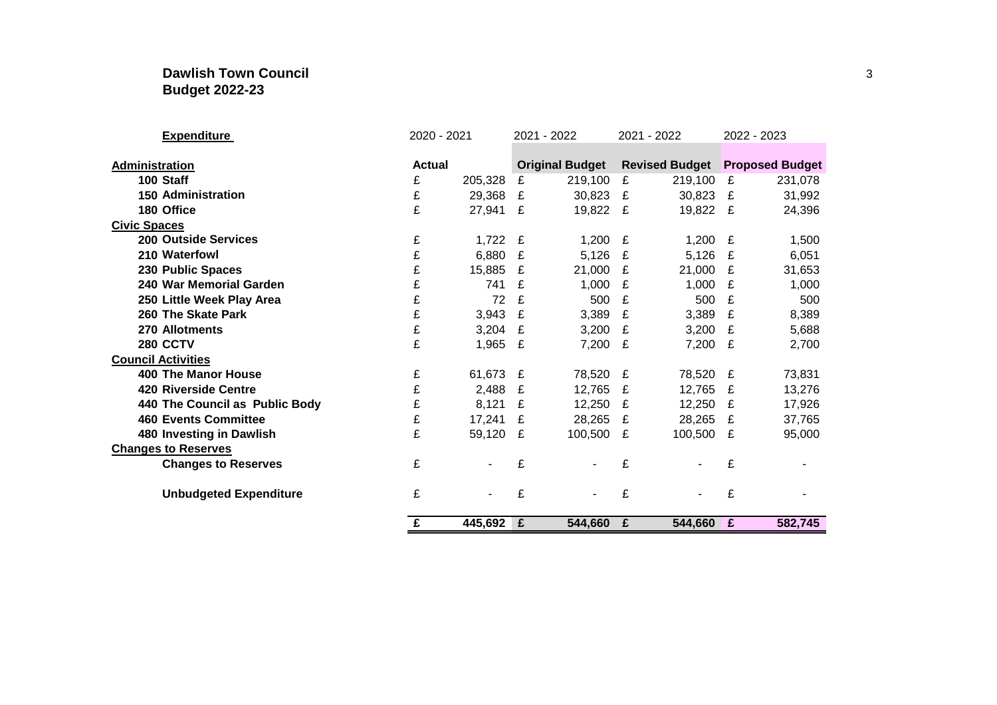## **Dawlish Town Council** 3 **Budget 2022-23**

| <b>Expenditure</b>             | 2020 - 2021   |           |   | 2021 - 2022            |   | 2021 - 2022 | 2022 - 2023 |                                       |  |  |
|--------------------------------|---------------|-----------|---|------------------------|---|-------------|-------------|---------------------------------------|--|--|
|                                |               |           |   |                        |   |             |             |                                       |  |  |
| Administration                 | <b>Actual</b> |           |   | <b>Original Budget</b> |   |             |             | <b>Revised Budget Proposed Budget</b> |  |  |
| 100 Staff                      | £             | 205,328   | £ | 219,100                | £ | 219,100     | £           | 231,078                               |  |  |
| <b>150 Administration</b>      | £             | 29,368    | £ | 30,823                 | £ | 30,823      | £           | 31,992                                |  |  |
| 180 Office                     | £             | 27,941 £  |   | 19,822                 | E | 19,822 £    |             | 24,396                                |  |  |
| <b>Civic Spaces</b>            |               |           |   |                        |   |             |             |                                       |  |  |
| <b>200 Outside Services</b>    | £             | 1,722 $E$ |   | 1,200                  | £ | 1,200       | £           | 1,500                                 |  |  |
| 210 Waterfowl                  | £             | 6,880     | £ | 5,126                  | £ | 5,126       | £           | 6,051                                 |  |  |
| 230 Public Spaces              | £             | 15,885    | £ | 21,000                 | £ | 21,000      | £           | 31,653                                |  |  |
| 240 War Memorial Garden        | £             | 741       | £ | 1,000                  | £ | 1,000       | £           | 1,000                                 |  |  |
| 250 Little Week Play Area      | £             | 72        | £ | 500                    | £ | 500         | £           | 500                                   |  |  |
| 260 The Skate Park             | £             | 3,943     | £ | 3,389                  | £ | 3,389       | £           | 8,389                                 |  |  |
| 270 Allotments                 | £             | 3,204     | £ | 3,200                  | £ | 3,200       | £           | 5,688                                 |  |  |
| <b>280 CCTV</b>                | £             | 1,965     | £ | 7,200                  | £ | 7,200       | £           | 2,700                                 |  |  |
| <b>Council Activities</b>      |               |           |   |                        |   |             |             |                                       |  |  |
| <b>400 The Manor House</b>     | £             | 61,673    | £ | 78,520                 | £ | 78,520 £    |             | 73,831                                |  |  |
| <b>420 Riverside Centre</b>    | £             | 2,488     | £ | 12,765                 | £ | 12,765      | £           | 13,276                                |  |  |
| 440 The Council as Public Body | £             | 8,121     | £ | 12,250                 | £ | 12,250      | £           | 17,926                                |  |  |
| <b>460 Events Committee</b>    | £             | 17,241    | £ | 28,265                 | £ | 28,265      | £           | 37,765                                |  |  |
| 480 Investing in Dawlish       | £             | 59,120    | £ | 100,500                | £ | 100,500     | £           | 95,000                                |  |  |
| <b>Changes to Reserves</b>     |               |           |   |                        |   |             |             |                                       |  |  |
| <b>Changes to Reserves</b>     | £             |           | £ |                        | £ |             | £           |                                       |  |  |
| <b>Unbudgeted Expenditure</b>  | £             |           | £ | ٠                      | £ | ۰           | £           |                                       |  |  |
|                                | £             | 445,692 £ |   | 544,660                | £ | 544,660     | E           | 582,745                               |  |  |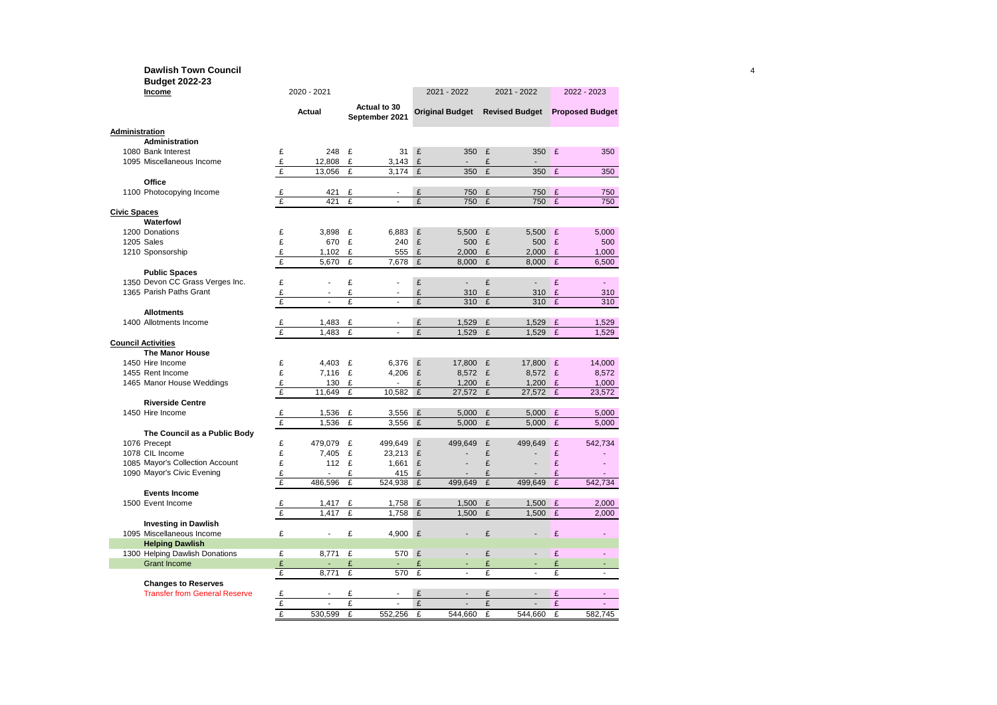#### **Dawlish Town Council** 4 **Budget 2022-23**

| Income                                                             |              | 2020 - 2021    |              | 2021 - 2022                    |              |                        | 2021 - 2022 | 2022 - 2023                           |                |                          |
|--------------------------------------------------------------------|--------------|----------------|--------------|--------------------------------|--------------|------------------------|-------------|---------------------------------------|----------------|--------------------------|
|                                                                    |              | Actual         |              | Actual to 30<br>September 2021 |              | <b>Original Budget</b> |             | <b>Revised Budget</b> Proposed Budget |                |                          |
| <b>Administration</b>                                              |              |                |              |                                |              |                        |             |                                       |                |                          |
| <b>Administration</b>                                              |              |                |              |                                |              |                        |             |                                       |                |                          |
| 1080 Bank Interest                                                 | £            | 248            | £            | 31                             | £            | 350                    | £           | 350                                   | E              | 350                      |
| 1095 Miscellaneous Income                                          | £            | 12,808         | £            | 3,143                          | £            |                        | £           |                                       |                |                          |
|                                                                    | £            | 13,056         | £            | 3,174                          | $\mathbf f$  | 350                    | £           | 350                                   | £              | 350                      |
| Office                                                             |              |                |              |                                |              |                        |             |                                       |                |                          |
| 1100 Photocopying Income                                           | £            | 421            | £            |                                | £            | 750                    | £           | 750                                   | £              | 750                      |
|                                                                    | $\mathbf{f}$ | 421            | £            | L.                             | £            | 750                    | £           | 750                                   | £              | 750                      |
| <b>Civic Spaces</b>                                                |              |                |              |                                |              |                        |             |                                       |                |                          |
| Waterfowl                                                          |              |                |              |                                |              |                        |             |                                       |                |                          |
| 1200 Donations                                                     | £            | 3,898          | £            | 6,883                          | £            | 5,500                  | £           | 5,500                                 | £              | 5,000                    |
| <b>1205 Sales</b>                                                  | £            | 670            | £            | 240                            | £            | 500                    | £           | 500                                   | £              | 500                      |
| 1210 Sponsorship                                                   | £            | 1.102          | £            | 555                            | £            | 2,000                  | £           | 2.000                                 | £              | 1,000                    |
|                                                                    | £            | 5,670          | £            | 7,678                          | £            | 8,000                  | £           | 8,000                                 | $\mathbf{E}$   | 6,500                    |
| <b>Public Spaces</b>                                               |              |                |              |                                |              |                        |             |                                       |                |                          |
| 1350 Devon CC Grass Verges Inc.                                    | £            |                | £            |                                | £            |                        | £           |                                       | £              |                          |
| 1365 Parish Paths Grant                                            | £            | ÷.             | £            | $\overline{a}$                 | £            | 310                    | £           | 310                                   | £              | 310                      |
|                                                                    | £            | $\overline{a}$ | £            | $\overline{a}$                 | £            | 310                    | £           | 310                                   | $\overline{f}$ | 310                      |
| <b>Allotments</b>                                                  |              |                |              |                                |              |                        |             |                                       |                |                          |
| 1400 Allotments Income                                             | £            | 1,483          | £            |                                | £            | 1,529                  | £           | 1,529 £                               |                | 1,529                    |
|                                                                    | $\mathbf{f}$ | 1.483          | $\mathbf{f}$ | ÷.                             | $\mathbf{f}$ | 1.529                  | £           | 1.529                                 | $\mathbf{f}$   | 1.529                    |
| <b>Council Activities</b>                                          |              |                |              |                                |              |                        |             |                                       |                |                          |
| <b>The Manor House</b>                                             |              |                |              |                                |              |                        |             |                                       |                |                          |
| 1450 Hire Income                                                   | £            | 4,403          | £            | 6,376                          | £            | 17,800                 | £           | 17,800 £                              |                | 14,000                   |
| 1455 Rent Income                                                   | £            | 7,116          | £            | 4,206                          | £            | 8,572 £                |             | 8,572 £                               |                | 8,572                    |
| 1465 Manor House Weddings                                          | £            | 130            | £            |                                | £            | 1,200                  | £           | 1,200                                 | £              | 1,000                    |
|                                                                    | £            | 11,649         | £            | 10,582                         | £            | 27,572                 | £           | 27,572                                | E              | 23,572                   |
| <b>Riverside Centre</b>                                            |              |                |              |                                |              |                        |             |                                       |                |                          |
| 1450 Hire Income                                                   | £            | 1,536          | £            | $3,556$ £                      |              | 5,000                  | £           | 5,000                                 | £              | 5,000                    |
|                                                                    | £            | 1,536          | £            | 3,556                          | £            | 5,000                  | £           | 5.000                                 | £              | 5.000                    |
| The Council as a Public Body                                       |              |                |              |                                |              |                        |             |                                       |                |                          |
| 1076 Precept                                                       | £            | 479,079        | £            | 499,649                        | £            | 499,649                | £           | 499,649                               | £              | 542,734                  |
| 1078 CIL Income                                                    | £            | 7,405          | £            | 23,213                         | £            |                        | £           |                                       | £              |                          |
| 1085 Mayor's Collection Account                                    | £            | 112            | £            | 1,661                          | £            |                        | £           |                                       | £              |                          |
| 1090 Mayor's Civic Evening                                         | £            |                | £            | 415                            | £            |                        | £           |                                       | £              |                          |
|                                                                    | £            | 486,596        | £            | 524,938                        | £            | 499,649                | £           | 499,649                               | £              | 542,734                  |
| <b>Events Income</b>                                               |              |                |              |                                |              |                        |             |                                       |                |                          |
| 1500 Event Income                                                  | £            | 1,417          | £            | 1,758                          | E            | 1,500                  | £           | 1,500                                 | £              | 2,000                    |
|                                                                    | £            | 1.417          | £            | 1,758                          | £            | 1,500                  | £           | 1,500                                 | £              | 2,000                    |
| <b>Investing in Dawlish</b>                                        |              |                |              |                                |              |                        |             |                                       |                |                          |
| 1095 Miscellaneous Income                                          | £            | ä,             | £            | 4,900 £                        |              |                        | £           |                                       | £              |                          |
| <b>Helping Dawlish</b>                                             |              |                |              |                                |              |                        |             |                                       |                |                          |
| 1300 Helping Dawlish Donations                                     | £            | 8,771          | £            | 570                            | £            |                        | £           |                                       | £              | $\overline{\phantom{a}}$ |
| <b>Grant Income</b>                                                | £            |                | £            |                                | £            |                        | £           |                                       | £              |                          |
|                                                                    | £            | 8,771          | £            | 570                            | £            | ä,                     | £           | ÷.                                    | £              | $\mathbf{r}$             |
|                                                                    |              |                |              |                                |              |                        |             |                                       |                |                          |
| <b>Changes to Reserves</b><br><b>Transfer from General Reserve</b> |              |                | £            |                                | £            |                        | £           |                                       | £              |                          |
|                                                                    | £<br>£       | $\overline{a}$ | £            |                                | $\mathbf{f}$ |                        | £           |                                       | $\overline{f}$ | $\overline{a}$           |
|                                                                    | £            | 530,599        | £            | 552,256                        | £            | 544,660                | £           | 544,660                               | £              | 582,745                  |
|                                                                    |              |                |              |                                |              |                        |             |                                       |                |                          |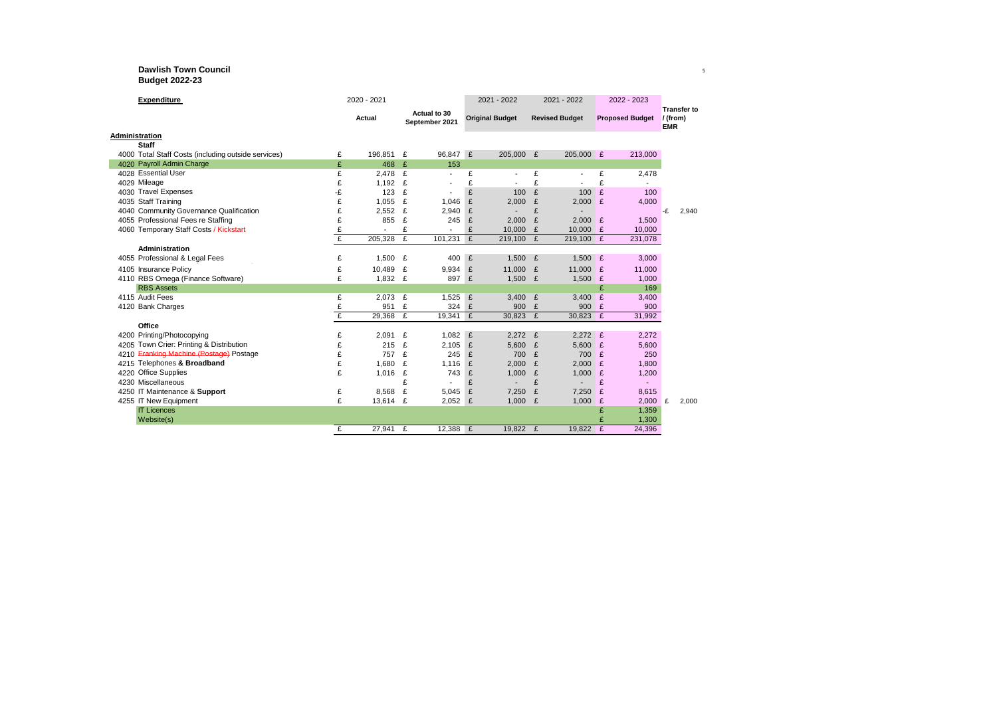#### **Dawlish Town Council** <sup>5</sup> **Budget 2022-23**

| <b>Expenditure</b>                                  | 2020 - 2021  |         | 2021 - 2022 |                                | 2021 - 2022 |                        |   | 2022 - 2023           |                        |         |                        |                    |
|-----------------------------------------------------|--------------|---------|-------------|--------------------------------|-------------|------------------------|---|-----------------------|------------------------|---------|------------------------|--------------------|
|                                                     |              | Actual  |             | Actual to 30<br>September 2021 |             | <b>Original Budget</b> |   | <b>Revised Budget</b> | <b>Proposed Budget</b> |         | / (from)<br><b>EMR</b> | <b>Transfer to</b> |
| Administration                                      |              |         |             |                                |             |                        |   |                       |                        |         |                        |                    |
| <b>Staff</b>                                        |              |         |             |                                |             |                        |   |                       |                        |         |                        |                    |
| 4000 Total Staff Costs (including outside services) | £            | 196,851 | £           | 96,847 £                       |             | 205,000 £              |   | 205,000 £             |                        | 213,000 |                        |                    |
| 4020 Payroll Admin Charge                           | £            | 468     | £           | 153                            |             |                        |   |                       |                        |         |                        |                    |
| 4028 Essential User                                 | £            | 2,478   | £           | $\overline{\phantom{a}}$       | £           |                        | £ |                       | £                      | 2,478   |                        |                    |
| 4029 Mileage                                        | £            | 1,192   | £           |                                | £           |                        | £ |                       | £                      |         |                        |                    |
| 4030 Travel Expenses                                | -£           | 123     | £           |                                | £           | 100                    | £ | 100                   | £                      | 100     |                        |                    |
| 4035 Staff Training                                 | £            | 1,055   | £           | 1,046                          | £           | 2,000                  | £ | $2,000$ £             |                        | 4,000   |                        |                    |
| 4040 Community Governance Qualification             | £            | 2,552   | £           | 2,940                          | £           |                        | £ |                       |                        |         | -£                     | 2,940              |
| 4055 Professional Fees re Staffing                  | £            | 855     | £           | 245                            | £           | 2,000                  | £ | $2,000$ £             |                        | 1,500   |                        |                    |
| 4060 Temporary Staff Costs / Kickstart              | £            |         | £           | $\overline{a}$                 | £           | 10,000                 | £ | 10.000                | £                      | 10,000  |                        |                    |
|                                                     | $\mathbf{f}$ | 205,328 | £           | 101.231                        | E           | 219,100 £              |   | 219,100 £             |                        | 231,078 |                        |                    |
| Administration                                      |              |         |             |                                |             |                        |   |                       |                        |         |                        |                    |
| 4055 Professional & Legal Fees                      | £            | 1,500   | £           | 400                            | E           | 1,500 $E$              |   | 1,500 $E$             |                        | 3,000   |                        |                    |
| 4105 Insurance Policy                               | £            | 10.489  | £           | 9,934                          | £           | 11.000 £               |   | 11.000                | £                      | 11,000  |                        |                    |
| 4110 RBS Omega (Finance Software)                   | £            | 1.832   | £           | 897                            | £           | 1.500 $E$              |   | 1.500 $E$             |                        | 1.000   |                        |                    |
| <b>RBS Assets</b>                                   |              |         |             |                                |             |                        |   |                       | £                      | 169     |                        |                    |
| 4115 Audit Fees                                     | £            | 2,073   | £           | 1.525                          | £           | 3,400 $E$              |   | 3.400 $E$             |                        | 3,400   |                        |                    |
| 4120 Bank Charges                                   | £            | 951     | £           | 324 £                          |             | 900                    | E | 900 £                 |                        | 900     |                        |                    |
|                                                     | £            | 29.368  | £           | 19.341 £                       |             | 30.823 £               |   | 30.823 £              |                        | 31,992  |                        |                    |
| Office                                              |              |         |             |                                |             |                        |   |                       |                        |         |                        |                    |
| 4200 Printing/Photocopying                          | £            | 2.091   | £           | 1.082                          | £           | $2.272$ £              |   | $2.272$ £             |                        | 2.272   |                        |                    |
| 4205 Town Crier: Printing & Distribution            | £            | 215     | £           | 2,105                          | £           | 5,600 $E$              |   | 5,600 £               |                        | 5,600   |                        |                    |
| 4210 Franking Machine (Postage) Postage             | £            | 757     | £           | 245                            | £           | 700 £                  |   | 700                   | £                      | 250     |                        |                    |
| 4215 Telephones & Broadband                         | £            | 1.680   | £           | 1,116                          | £           | 2,000                  | £ | 2,000                 | £                      | 1,800   |                        |                    |
| 4220 Office Supplies                                | £            | 1.016   | £           | 743                            | £           | 1.000                  | £ | 1,000                 | £                      | 1,200   |                        |                    |
| 4230 Miscellaneous                                  |              |         | £           |                                | £           |                        | £ |                       | £                      |         |                        |                    |
| 4250 IT Maintenance & Support                       | £            | 8,568   | £           | 5,045                          | £           | 7,250                  | £ | 7,250                 | £                      | 8,615   |                        |                    |
| 4255 IT New Equipment                               | £            | 13,614  | £           | 2,052                          | £           | $1,000$ £              |   | 1,000                 | £                      | 2,000   | £                      | 2,000              |
| <b>IT Licences</b>                                  |              |         |             |                                |             |                        |   |                       | £                      | 1,359   |                        |                    |
| Website(s)                                          |              |         |             |                                |             |                        |   |                       | £                      | 1,300   |                        |                    |
|                                                     | £            | 27,941  | £           | 12,388 £                       |             | 19.822 £               |   | 19.822 £              |                        | 24,396  |                        |                    |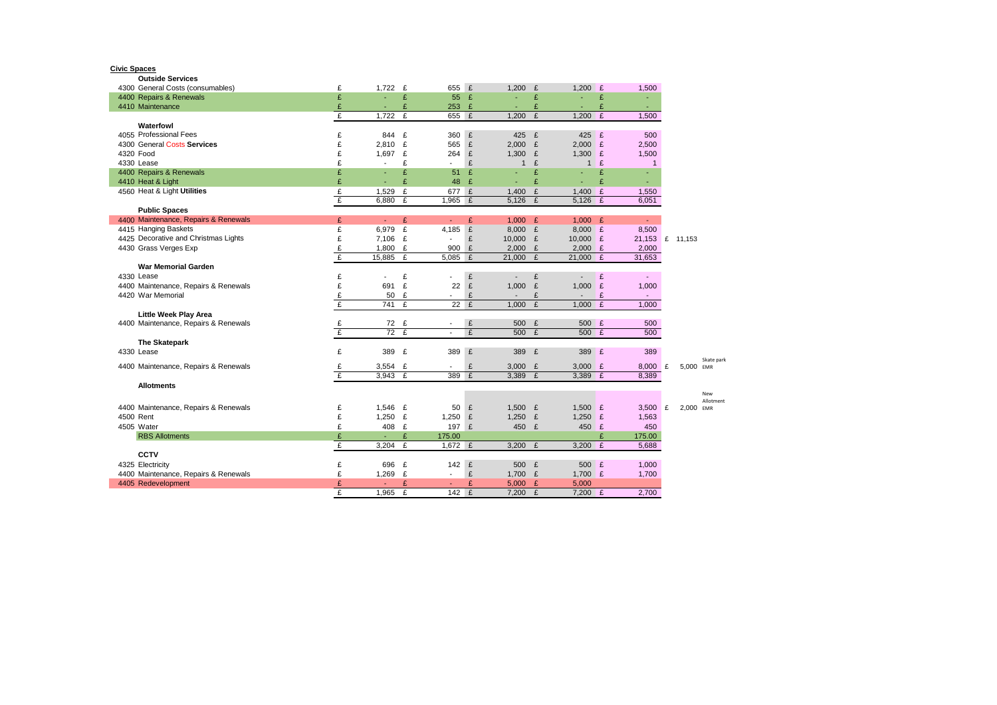**Civic Spaces Outside Services**

| 4300 General Costs (consumables)     | £      | 1,722          | £      | 655                      | E      | 1,200                    | £           | 1.200                    | E | 1,500           |           |            |
|--------------------------------------|--------|----------------|--------|--------------------------|--------|--------------------------|-------------|--------------------------|---|-----------------|-----------|------------|
| 4400 Repairs & Renewals              | £      | ÷,             | £      | 55                       | E      | ÷,                       | £           |                          | £ | ä,              |           |            |
| 4410 Maintenance                     | £      | ٠              | £      | 253                      | £      | ٠                        | £           |                          | £ | $\sim$          |           |            |
|                                      | £      | 1,722          | £      | 655                      | E      | 1,200                    | £           | 1,200                    | £ | 1,500           |           |            |
| Waterfowl                            |        |                |        |                          |        |                          |             |                          |   |                 |           |            |
| 4055 Professional Fees               | £      | 844            | £      | 360                      | £      | 425                      | E           | 425 £                    |   | 500             |           |            |
| 4300 General Costs Services          | £      | 2,810          | £      | 565                      | £      | $2,000$ £                |             | $2,000$ £                |   | 2,500           |           |            |
| 4320 Food                            | £      | 1,697          | £      | 264                      | £      | 1,300 $E$                |             | 1,300 $E$                |   | 1,500           |           |            |
| 4330 Lease                           | £      | $\overline{a}$ | £      |                          | £      | $\mathbf{1}$             | £           | $\mathbf{1}$             | £ | $\mathbf{1}$    |           |            |
| 4400 Repairs & Renewals              | £      | ÷,             | £      | 51                       | £      | $\blacksquare$           | £           |                          | £ | ÷.              |           |            |
| 4410 Heat & Light                    | £      | r.             | £      | 48                       | £      | $\overline{\phantom{a}}$ | £           |                          | £ | ٠               |           |            |
| 4560 Heat & Light Utilities          | £      | 1,529          | £      | 677                      | E      | 1,400                    | £           | 1,400 $E$                |   | 1,550           |           |            |
|                                      | £      | 6,880          | £      | 1,965                    | E      | 5,126                    | £           | $5,126$ £                |   | 6,051           |           |            |
| <b>Public Spaces</b>                 |        |                |        |                          |        |                          |             |                          |   |                 |           |            |
| 4400 Maintenance, Repairs & Renewals | £      | ÷.             | £      |                          | £      | 1,000 $E$                |             | 1,000 $E$                |   | $\blacksquare$  |           |            |
| 4415 Hanging Baskets                 | £      | 6,979          | £      | 4,185                    | £      | $8,000$ £                |             | $8,000$ £                |   | 8,500           |           |            |
| 4425 Decorative and Christmas Lights | £      | 7,106          | £      | $\overline{\phantom{a}}$ | £      | 10,000 £                 |             | 10,000 £                 |   | 21,153 £ 11,153 |           |            |
| 4430 Grass Verges Exp                | £      | 1,800          | £      | 900                      | £      | $2,000$ £                |             | $2,000$ £                |   | 2,000           |           |            |
|                                      | £      | 15,885         | £      | 5,085                    | E      | $21,000$ £               |             | $21,000$ £               |   | 31,653          |           |            |
| <b>War Memorial Garden</b>           |        |                |        |                          |        |                          |             |                          |   |                 |           |            |
| 4330 Lease                           | £      |                | £      |                          | £      | $\overline{a}$           | £           |                          | £ | $\sim 100$      |           |            |
| 4400 Maintenance, Repairs & Renewals | £      | 691            | £      | 22                       | £      | 1,000                    | $\mathbf f$ | 1,000                    | E | 1,000           |           |            |
| 4420 War Memorial                    | £      | 50             | £      |                          | £      | $\overline{\phantom{a}}$ | £           | $\overline{\phantom{a}}$ | £ | $\sim 100$      |           |            |
|                                      | £      | 741            | £      | 22                       | E      | 1.000                    | £           | 1,000 $E$                |   | 1.000           |           |            |
| <b>Little Week Play Area</b>         |        |                |        |                          |        |                          |             |                          |   |                 |           |            |
| 4400 Maintenance, Repairs & Renewals | £      | 72 £           |        | $\overline{\phantom{a}}$ | £      | 500                      | £           | 500 £                    |   | 500             |           |            |
|                                      | £      | 72             | £      |                          | £      | 500                      | £           | 500 £                    |   | 500             |           |            |
| The Skatepark                        |        |                |        |                          |        |                          |             |                          |   |                 |           |            |
| 4330 Lease                           | £      | 389 £          |        | 389                      | £      | 389                      | E           | 389                      | E | 389             |           |            |
| 4400 Maintenance, Repairs & Renewals | £      | $3,554$ £      |        |                          | £      | 3,000 $E$                |             | 3,000 $E$                |   | $8,000$ £       | 5,000 EMR | Skate park |
|                                      | £      | 3,943 $E$      |        | 389                      | E      | 3,389                    | E           | 3,389 £                  |   | 8,389           |           |            |
| <b>Allotments</b>                    |        |                |        |                          |        |                          |             |                          |   |                 |           |            |
|                                      |        |                |        |                          |        |                          |             |                          |   |                 |           | New        |
|                                      |        |                |        |                          |        |                          |             |                          |   |                 |           | Allotment  |
| 4400 Maintenance, Repairs & Renewals | £      | 1,546 £        |        | 50                       | £      | 1,500 $E$                |             | 1,500 $E$                |   | 3,500 $E$       | 2,000     | EMR        |
| 4500 Rent                            | £      | 1,250          | £      | 1,250                    | £      | 1,250 $E$                |             | 1,250 $E$                |   | 1,563           |           |            |
| 4505 Water                           | £      | 408            | £      | 197                      | £      | 450 £                    |             | 450                      | E | 450             |           |            |
| <b>RBS Allotments</b>                | £      |                | £      | 175.00<br>$1,672 \t f$   |        |                          |             |                          | £ | 175.00          |           |            |
|                                      | £      | 3,204          | £      |                          |        | 3,200 $E$                |             | 3,200 $E$                |   | 5,688           |           |            |
| <b>CCTV</b>                          |        |                |        |                          |        |                          |             |                          |   |                 |           |            |
| 4325 Electricity                     | £      | 696            | £      | 142                      | E      | 500 £                    |             | 500 £                    |   | 1,000           |           |            |
| 4400 Maintenance, Repairs & Renewals | £      | 1,269          | £      |                          | £      | 1,700 £                  |             | 1,700 $E$                |   | 1,700           |           |            |
| 4405 Redevelopment                   | £<br>£ | 1.965          | £<br>£ | 142                      | £<br>E | 5,000                    | E<br>£      | 5,000<br>$7,200$ £       |   | 2,700           |           |            |
|                                      |        |                |        |                          |        | 7.200                    |             |                          |   |                 |           |            |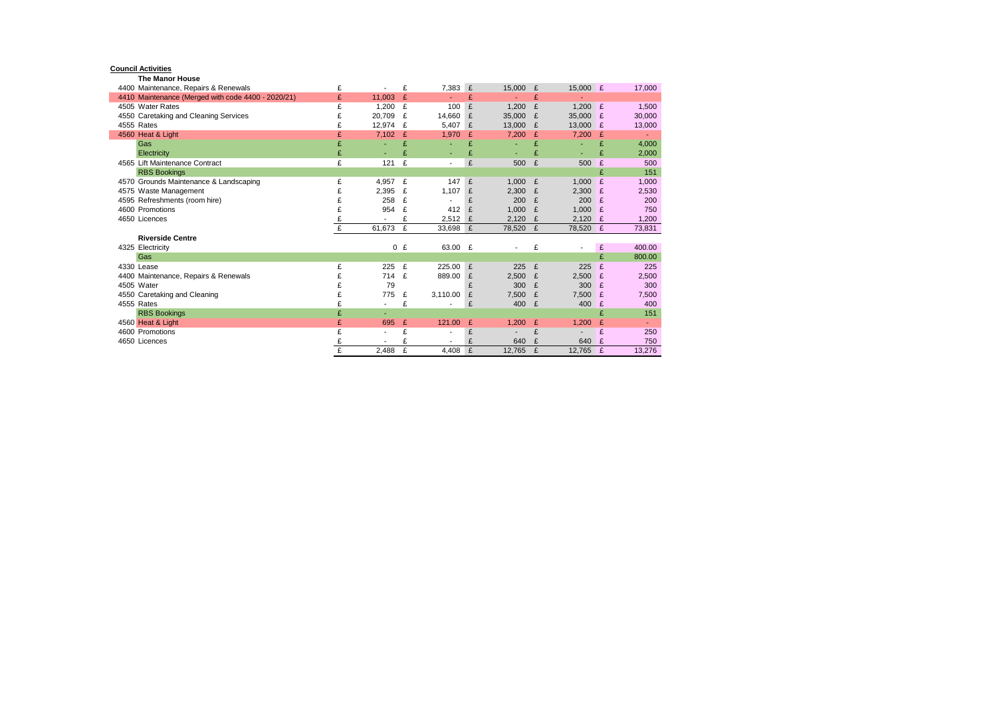#### **Council Activities**

**The Manor House**

| 4400 Maintenance, Repairs & Renewals               | £ |                          | £     | 7,383    | £ | 15,000 | £ | 15,000                   | £ | 17,000 |
|----------------------------------------------------|---|--------------------------|-------|----------|---|--------|---|--------------------------|---|--------|
| 4410 Maintenance (Merged with code 4400 - 2020/21) | £ | 11.003                   | £     |          | £ |        | £ |                          |   |        |
| 4505 Water Rates                                   | £ | 1.200                    | £     | 100      | £ | 1.200  | £ | 1.200                    | £ | 1,500  |
| 4550 Caretaking and Cleaning Services              | £ | 20.709                   | £     | 14.660   | £ | 35,000 | £ | 35,000                   | £ | 30,000 |
| 4555 Rates                                         | £ | 12,974                   | £     | 5,407    | £ | 13,000 | £ | 13,000                   | £ | 13,000 |
| 4560 Heat & Light                                  | £ | 7,102                    | £     | 1,970    | £ | 7,200  | £ | 7,200                    | £ |        |
| Gas                                                | £ |                          | £     |          | £ |        | £ |                          | £ | 4,000  |
| Electricity                                        | £ | ٠                        |       | ٠        | £ | ٠      | £ | ٠                        | £ | 2,000  |
| 4565 Lift Maintenance Contract                     | £ | 121                      | £     |          | £ | 500    | £ | 500                      | £ | 500    |
| <b>RBS Bookings</b>                                |   |                          |       |          |   |        |   |                          | £ | 151    |
| 4570 Grounds Maintenance & Landscaping             | £ | 4,957                    | £     | 147      | £ | 1.000  | £ | 1,000                    | £ | 1,000  |
| 4575 Waste Management                              |   | 2,395                    | £     | 1,107    | £ | 2,300  | £ | 2,300                    | £ | 2,530  |
| 4595 Refreshments (room hire)                      |   | 258                      | £     |          | £ | 200    | £ | 200                      | £ | 200    |
| 4600 Promotions                                    |   | 954                      | £     | 412      | £ | 1.000  | £ | 1,000                    | £ | 750    |
| 4650 Licences                                      |   |                          |       | 2,512    | £ | 2,120  | £ | 2,120                    | £ | 1,200  |
|                                                    | £ | 61,673                   | £     | 33,698 £ |   | 78,520 | £ | 78,520                   | £ | 73,831 |
| <b>Riverside Centre</b>                            |   |                          |       |          |   |        |   |                          |   |        |
| 4325 Electricity                                   |   |                          | $0$ £ | 63.00    | £ |        | £ | $\overline{\phantom{a}}$ | £ | 400.00 |
| Gas                                                |   |                          |       |          |   |        |   |                          | £ | 800.00 |
| 4330 Lease                                         | £ | 225                      | £     | 225.00   | £ | 225    | £ | 225                      | £ | 225    |
| 4400 Maintenance, Repairs & Renewals               |   | 714                      | £     | 889.00   | £ | 2,500  | £ | 2,500                    | £ | 2,500  |
| 4505 Water                                         |   | 79                       |       |          | £ | 300    | £ | 300                      | £ | 300    |
| 4550 Caretaking and Cleaning                       | £ | 775                      | £     | 3,110.00 | £ | 7,500  | £ | 7,500                    | £ | 7,500  |
| 4555 Rates                                         |   | $\overline{\phantom{a}}$ | £     |          | £ | 400    | £ | 400                      | £ | 400    |
| <b>RBS Bookings</b>                                | £ | ٠                        |       |          |   |        |   |                          | £ | 151    |
| 4560 Heat & Light                                  | £ | 695                      | £     | 121.00   | £ | 1,200  | £ | 1,200                    | £ |        |
| 4600 Promotions                                    | £ |                          | £     |          | £ |        | £ |                          | £ | 250    |
| 4650 Licences                                      |   |                          |       |          | £ | 640    | £ | 640                      | £ | 750    |
|                                                    | £ | 2,488                    | £     | 4,408    | £ | 12,765 | £ | 12,765                   | £ | 13,276 |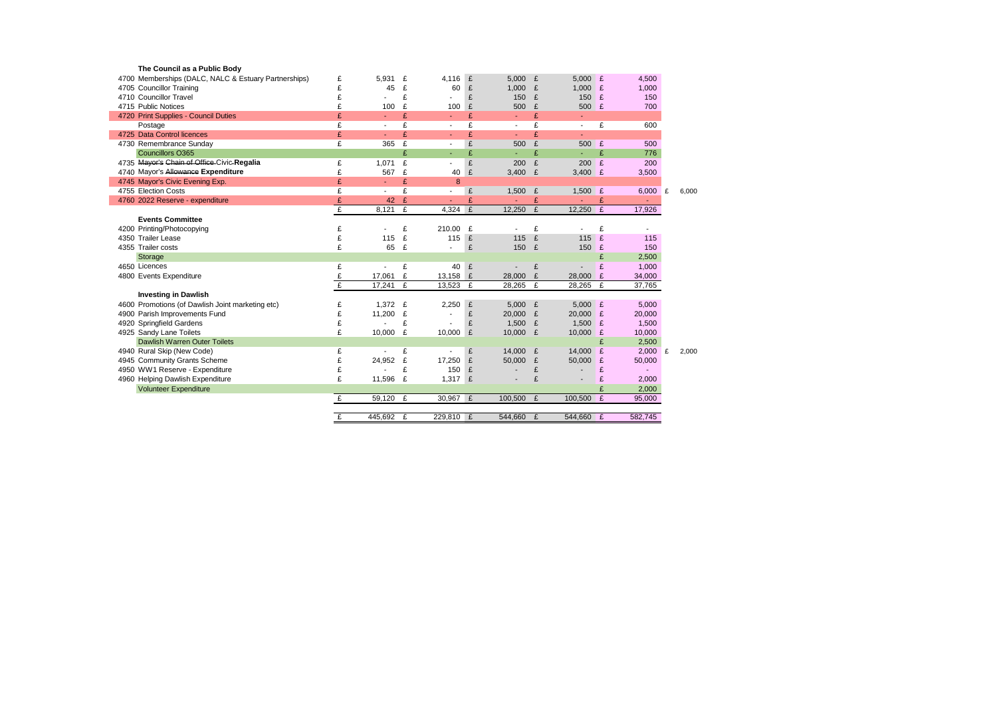| The Council as a Public Body                         |   |                |   |                          |   |                          |              |                          |   |                |       |
|------------------------------------------------------|---|----------------|---|--------------------------|---|--------------------------|--------------|--------------------------|---|----------------|-------|
| 4700 Memberships (DALC, NALC & Estuary Partnerships) | £ | 5,931          | £ | 4,116                    | £ | 5,000 $E$                |              | 5,000                    | £ | 4,500          |       |
| 4705 Councillor Training                             | £ | 45             | £ | 60                       | £ | 1.000                    | £            | 1.000                    | £ | 1,000          |       |
| 4710 Councillor Travel                               | £ |                | £ |                          | £ | 150                      | £            | 150                      | £ | 150            |       |
| 4715 Public Notices                                  | £ | 100            | £ | 100                      | £ | 500                      | £            | 500                      | £ | 700            |       |
| 4720 Print Supplies - Council Duties                 | £ | $\blacksquare$ | £ | $\sim$                   | £ |                          | £            | ٠                        |   |                |       |
| Postage                                              | £ | $\overline{a}$ | £ | $\overline{\phantom{a}}$ | £ | $\overline{\phantom{a}}$ | £            | $\overline{\phantom{a}}$ | £ | 600            |       |
| 4725 Data Control licences                           | £ | $\blacksquare$ | £ | ÷                        | £ | ÷                        | £            | ÷                        |   |                |       |
| 4730 Remembrance Sunday                              | £ | 365            | £ | $\blacksquare$           | £ | 500                      | £            | 500                      | £ | 500            |       |
| <b>Councillors O365</b>                              |   |                | £ | ÷.                       | £ | ÷.                       | £            | ٠                        | £ | 776            |       |
| 4735 Mayor's Chain of Office Civic-Regalia           | £ | 1.071          | £ |                          | £ | 200                      | £            | 200                      | £ | 200            |       |
| 4740 Mayor's Allowance Expenditure                   | £ | 567            | £ | 40                       | £ | 3,400                    | $\mathbf f$  | 3,400 $E$                |   | 3,500          |       |
| 4745 Mayor's Civic Evening Exp.                      | £ | $\blacksquare$ | £ | 8                        |   |                          |              |                          |   |                |       |
| 4755 Election Costs                                  | £ | $\blacksquare$ | £ |                          | £ | 1.500 $E$                |              | 1,500 $E$                |   | 6,000 £        | 6.000 |
| 4760 2022 Reserve - expenditure                      | £ | 42             | £ | $\sim$                   | £ | $\blacksquare$           | £            | $\blacksquare$           | £ | $\blacksquare$ |       |
|                                                      | £ | 8.121          | £ | 4,324 $E$                |   | 12,250                   | £            | 12,250                   | E | 17,926         |       |
| <b>Events Committee</b>                              |   |                |   |                          |   |                          |              |                          |   |                |       |
| 4200 Printing/Photocopying                           | £ |                | £ | 210.00                   | £ |                          | £            | $\overline{\phantom{a}}$ | £ |                |       |
| 4350 Trailer Lease                                   | £ | 115            | £ | 115                      | £ | 115                      | $\mathbf{f}$ | 115                      | £ | 115            |       |
| 4355 Trailer costs                                   | £ | 65             | £ |                          | £ | 150                      | E            | 150                      | £ | 150            |       |
| Storage                                              |   |                |   |                          |   |                          |              |                          | £ | 2,500          |       |
| 4650 Licences                                        | £ | $\overline{a}$ | £ | 40                       | £ |                          | £            |                          | £ | 1.000          |       |
| 4800 Events Expenditure                              | £ | 17,061         | £ | 13,158 £                 |   | 28,000                   | £            | 28,000                   | £ | 34,000         |       |
|                                                      | £ | 17,241         | £ | 13,523                   | £ | 28,265                   | £            | 28,265                   | £ | 37,765         |       |
| <b>Investing in Dawlish</b>                          |   |                |   |                          |   |                          |              |                          |   |                |       |
| 4600 Promotions (of Dawlish Joint marketing etc)     | £ | 1,372          | £ | 2,250                    | £ | 5.000 $E$                |              | 5,000                    | E | 5,000          |       |
| 4900 Parish Improvements Fund                        | £ | 11.200         | £ |                          | £ | 20,000 £                 |              | 20,000                   | £ | 20,000         |       |
| 4920 Springfield Gardens                             | £ |                | £ |                          | £ | 1,500                    | E            | 1,500                    | £ | 1.500          |       |
| 4925 Sandy Lane Toilets                              | £ | 10,000         | £ | 10,000                   | £ | 10,000                   | E            | 10,000                   | £ | 10,000         |       |
| Dawlish Warren Outer Toilets                         |   |                |   |                          |   |                          |              |                          | £ | 2.500          |       |
| 4940 Rural Skip (New Code)                           | £ |                | £ | $\blacksquare$           | £ | 14,000 £                 |              | 14,000                   | £ | $2.000$ £      | 2,000 |
| 4945 Community Grants Scheme                         | £ | 24,952         | £ | 17,250                   | £ | 50.000                   | £            | 50,000                   | £ | 50,000         |       |
| 4950 WW1 Reserve - Expenditure                       | £ |                | £ | 150                      | £ |                          | £            |                          | £ | ٠              |       |
| 4960 Helping Dawlish Expenditure                     | £ | 11,596         | £ | 1,317                    | £ |                          | £            |                          | £ | 2,000          |       |
| <b>Volunteer Expenditure</b>                         |   |                |   |                          |   |                          |              |                          | £ | 2,000          |       |
|                                                      | £ | 59,120         | £ | 30,967 £                 |   | 100,500                  | £            | 100,500                  | £ | 95,000         |       |
|                                                      |   |                |   |                          |   |                          |              |                          |   |                |       |
|                                                      | £ | 445,692        | £ | 229.810 £                |   | 544.660 £                |              | 544.660 £                |   | 582.745        |       |